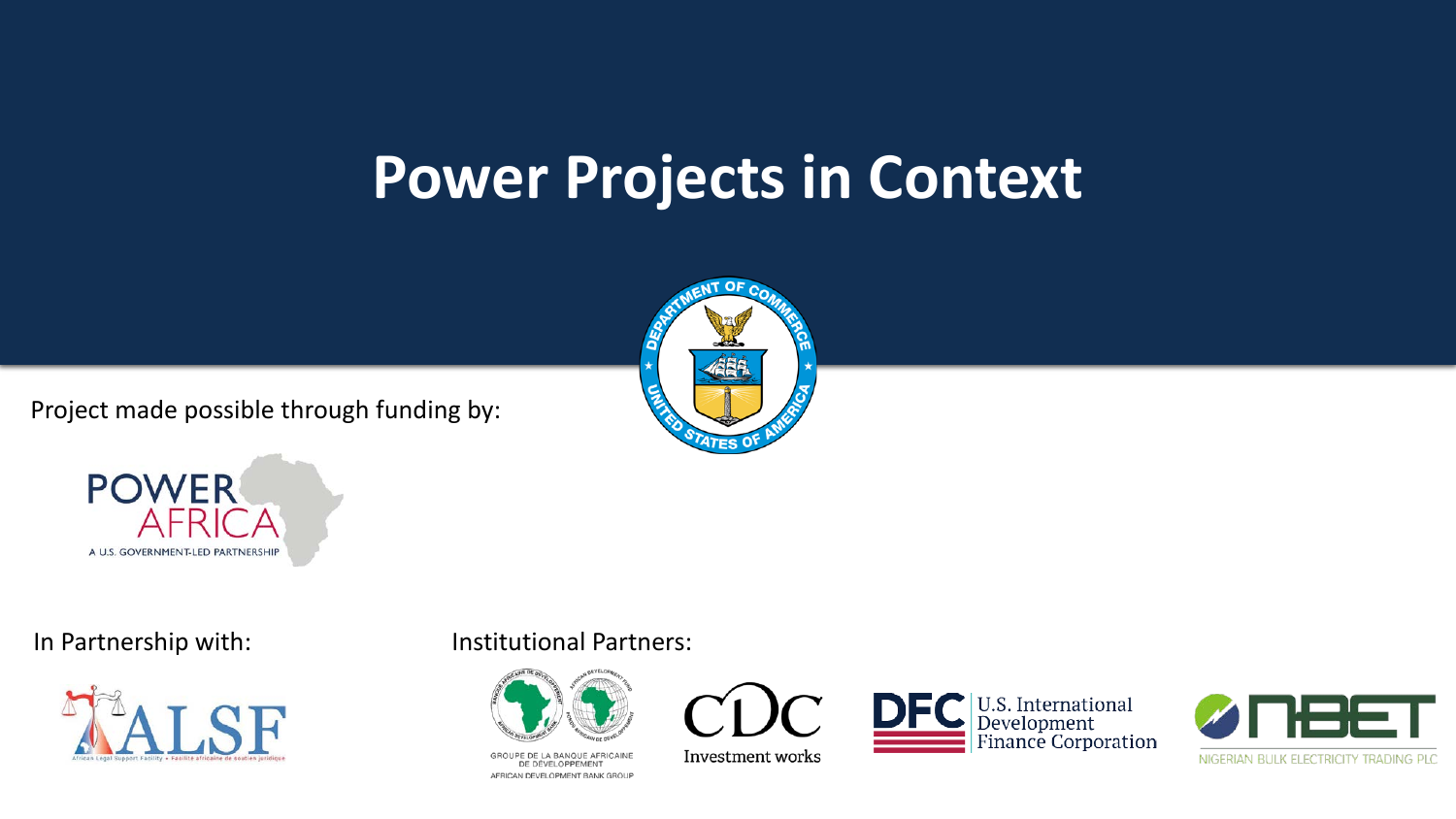#### **Power Projects in Context**

Project made possible through funding by:







#### In Partnership with: Institutional Partners:



GROUPE DE LA BANQUE AFRICAINE DE DÉVELOPPEMENT AFRICAN DEVELOPMENT BANK GROUP



Investment works



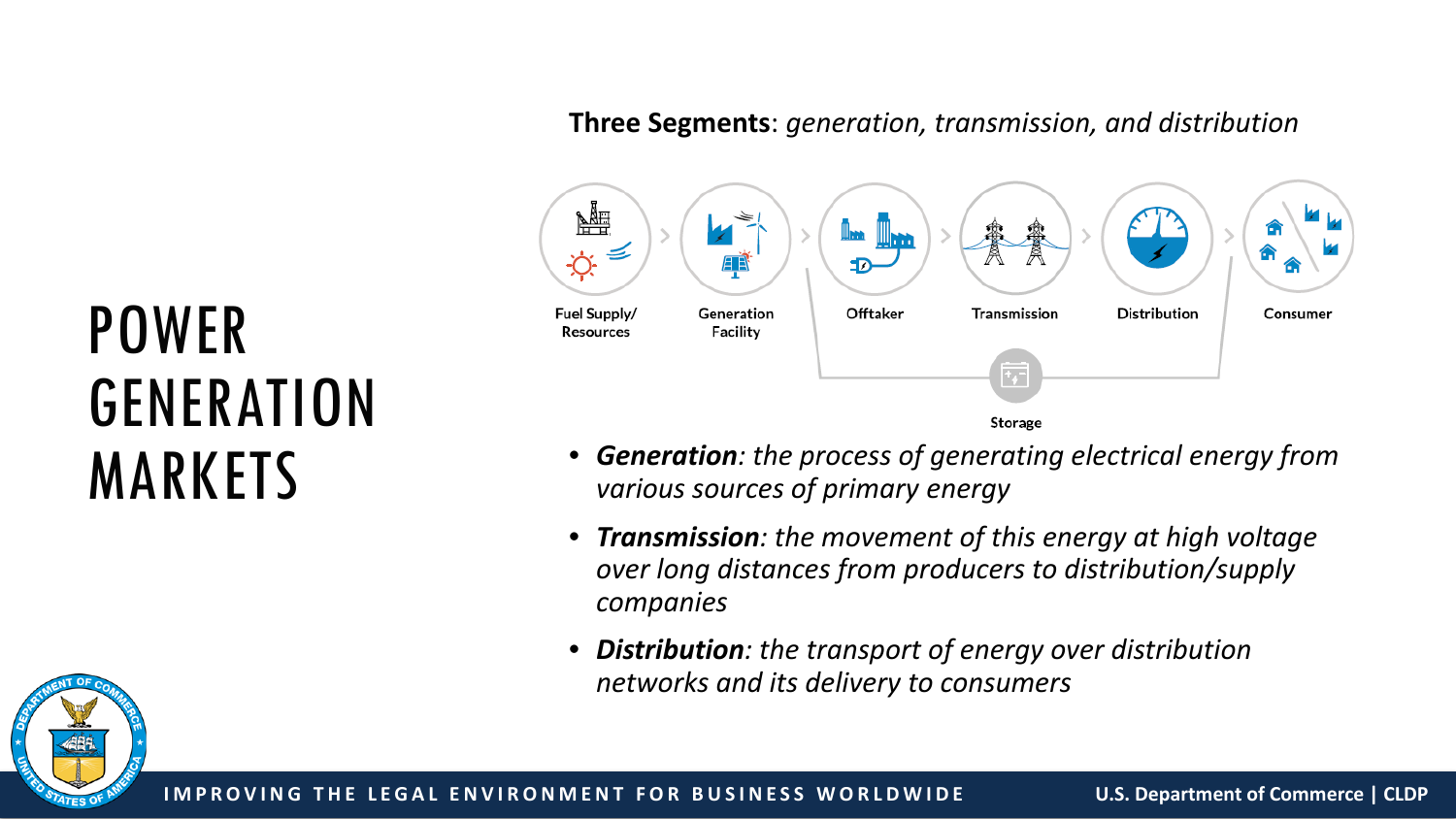#### **Three Segments**: *generation, transmission, and distribution*



- *Generation: the process of generating electrical energy from various sources of primary energy*
- *Transmission: the movement of this energy at high voltage over long distances from producers to distribution/supply companies*
- *Distribution: the transport of energy over distribution networks and its delivery to consumers*

# POWER GENERATION MARKETS

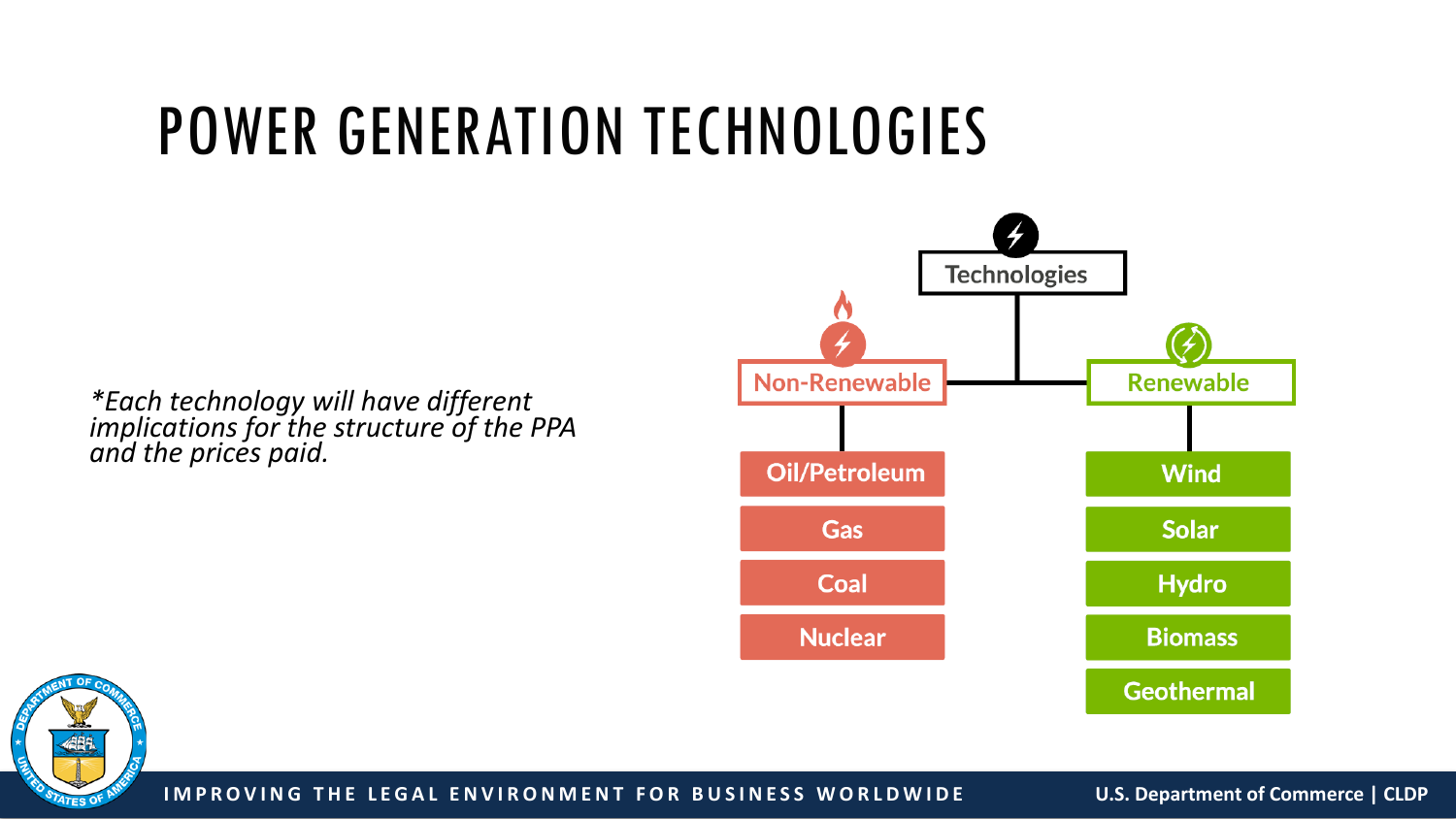#### POWER GENERATION TECHNOLOGIES

**Technologies Non-Renewable Renewable Oil/Petroleum Wind Solar** Gas Coal **Hydro Nuclear Biomass Geothermal** 

*\*Each technology will have different implications for the structure of the PPA and the prices paid.*



**IMPROVING THE LEGAL ENVIRONMENT FOR BUSINESS WORLDWIDE U.S. Department of Commerce | CLDP**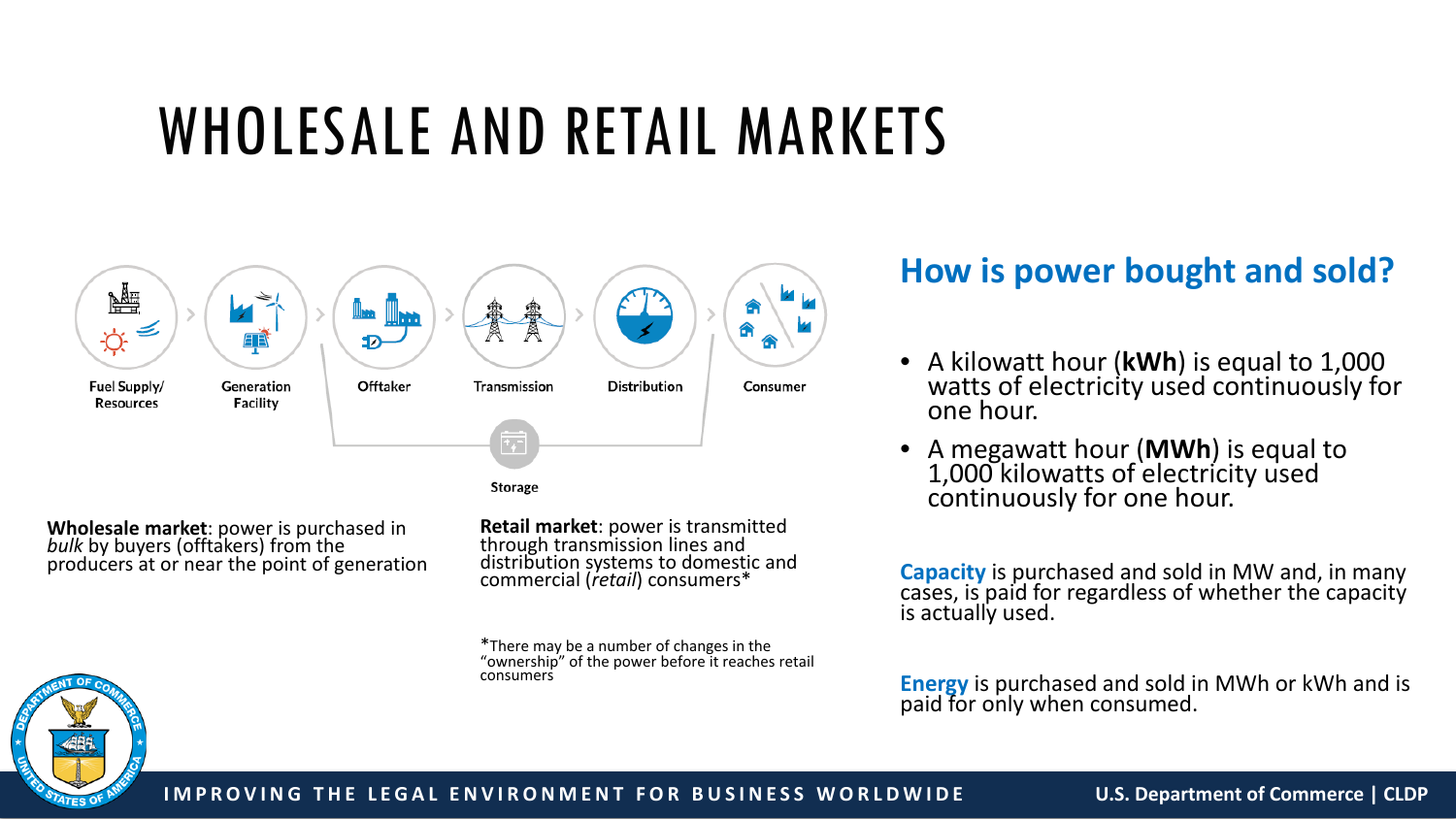#### WHOLESALE AND RETAIL MARKETS



**Wholesale market**: power is purchased in *bulk* by buyers (offtakers) from the producers at or near the point of generation

**Retail market**: power is transmitted<br>through transmission lines and distribution systems to domestic and commercial (*retail*) consumers\*

\*There may be a number of changes in the "ownership" of the power before it reaches retail consumers

#### **How is power bought and sold?**

- A kilowatt hour (**kWh**) is equal to 1,000 watts of electricity used continuously for one hour.
- A megawatt hour (**MWh**) is equal to 1,000 kilowatts of electricity used continuously for one hour.

**Capacity** is purchased and sold in MW and, in many cases, is paid for regardless of whether the capacity is actually used.

**Energy** is purchased and sold in MWh or kWh and is paid for only when consumed.

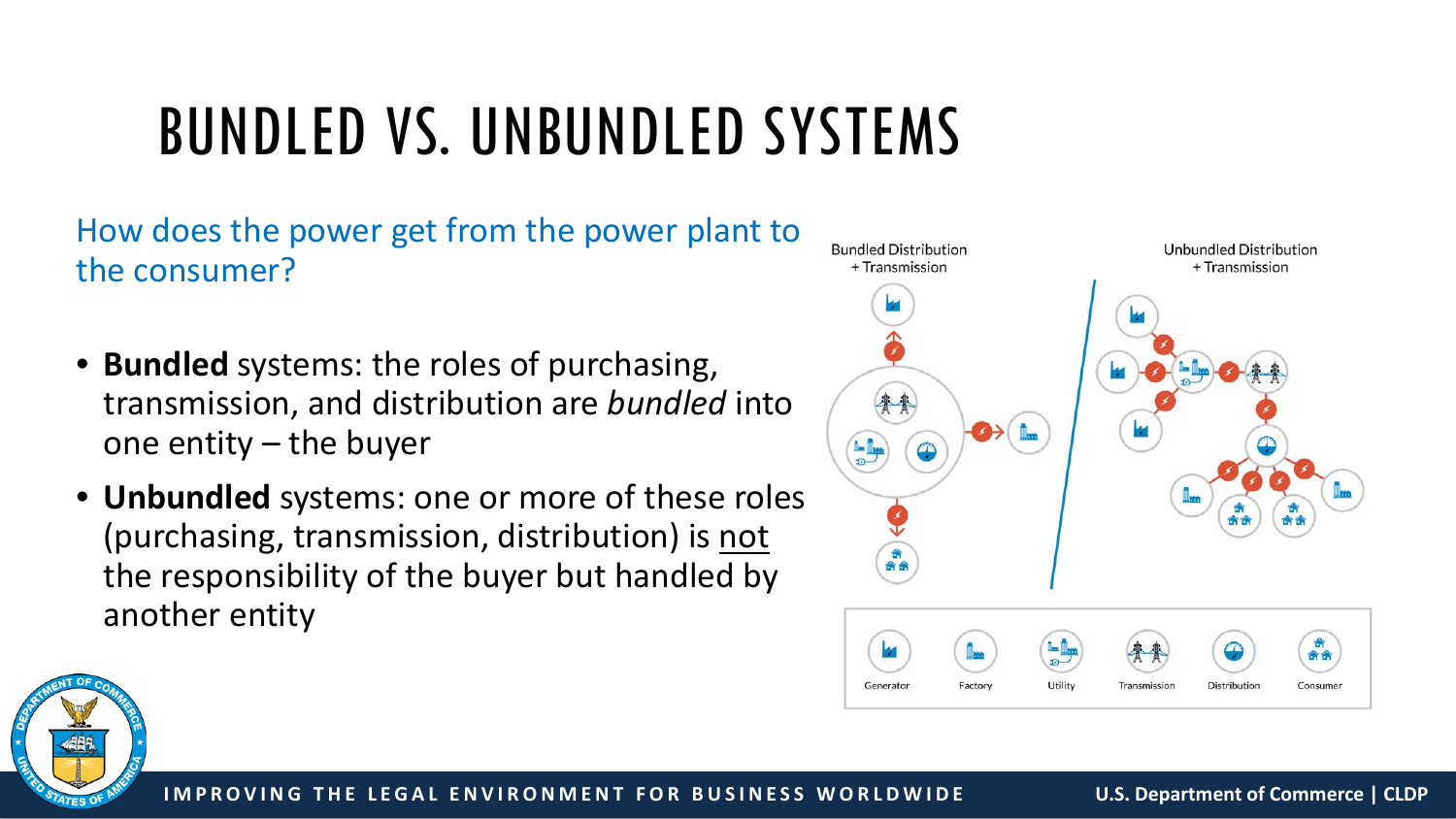### BUNDLED VS. UNBUNDLED SYSTEMS

How does the power get from the power plant to the consumer?

- **Bundled** systems: the roles of purchasing, transmission, and distribution are *bundled* into one entity – the buyer
- **Unbundled** systems: one or more of these roles (purchasing, transmission, distribution) is not the responsibility of the buyer but handled by another entity



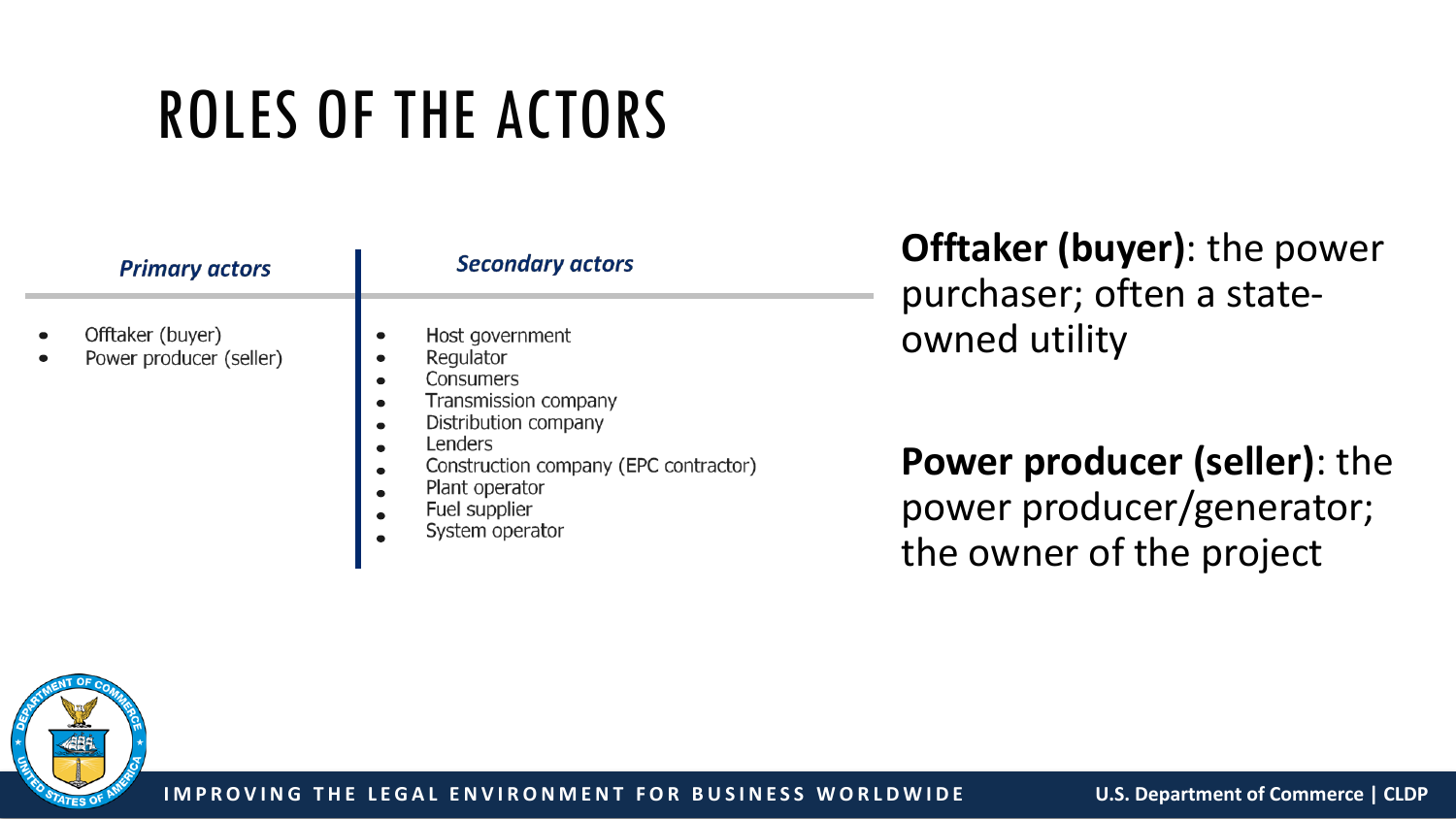# ROLES OF THE ACTORS

| <b>Primary actors</b>                       | <b>Secondary actors</b>                                                                                                                                                                                                       |
|---------------------------------------------|-------------------------------------------------------------------------------------------------------------------------------------------------------------------------------------------------------------------------------|
| Offtaker (buyer)<br>Power producer (seller) | Host government<br>Regulator<br>Consumers<br>$\bullet$<br>Transmission company<br>$\bullet$<br>Distribution company<br>Lenders<br>Construction company (EPC contractor)<br>Plant operator<br>Fuel supplier<br>System operator |

**Offtaker (buyer)**: the power purchaser; often a stateowned utility

**Power producer (seller)**: the power producer/generator; the owner of the project

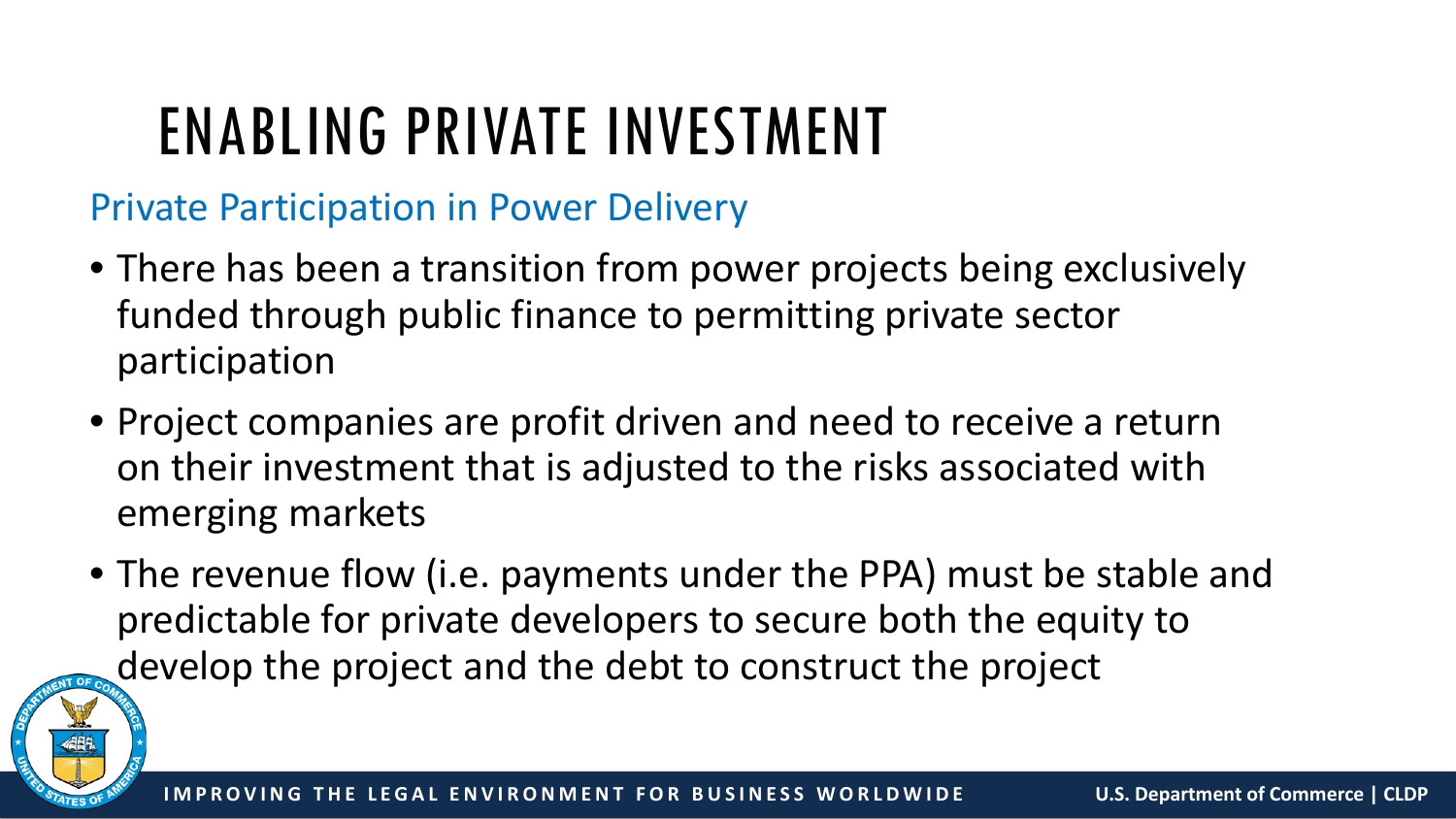## ENABLING PRIVATE INVESTMENT

#### Private Participation in Power Delivery

- There has been a transition from power projects being exclusively funded through public finance to permitting private sector participation
- Project companies are profit driven and need to receive a return on their investment that is adjusted to the risks associated with emerging markets
- The revenue flow (i.e. payments under the PPA) must be stable and predictable for private developers to secure both the equity to develop the project and the debt to construct the project

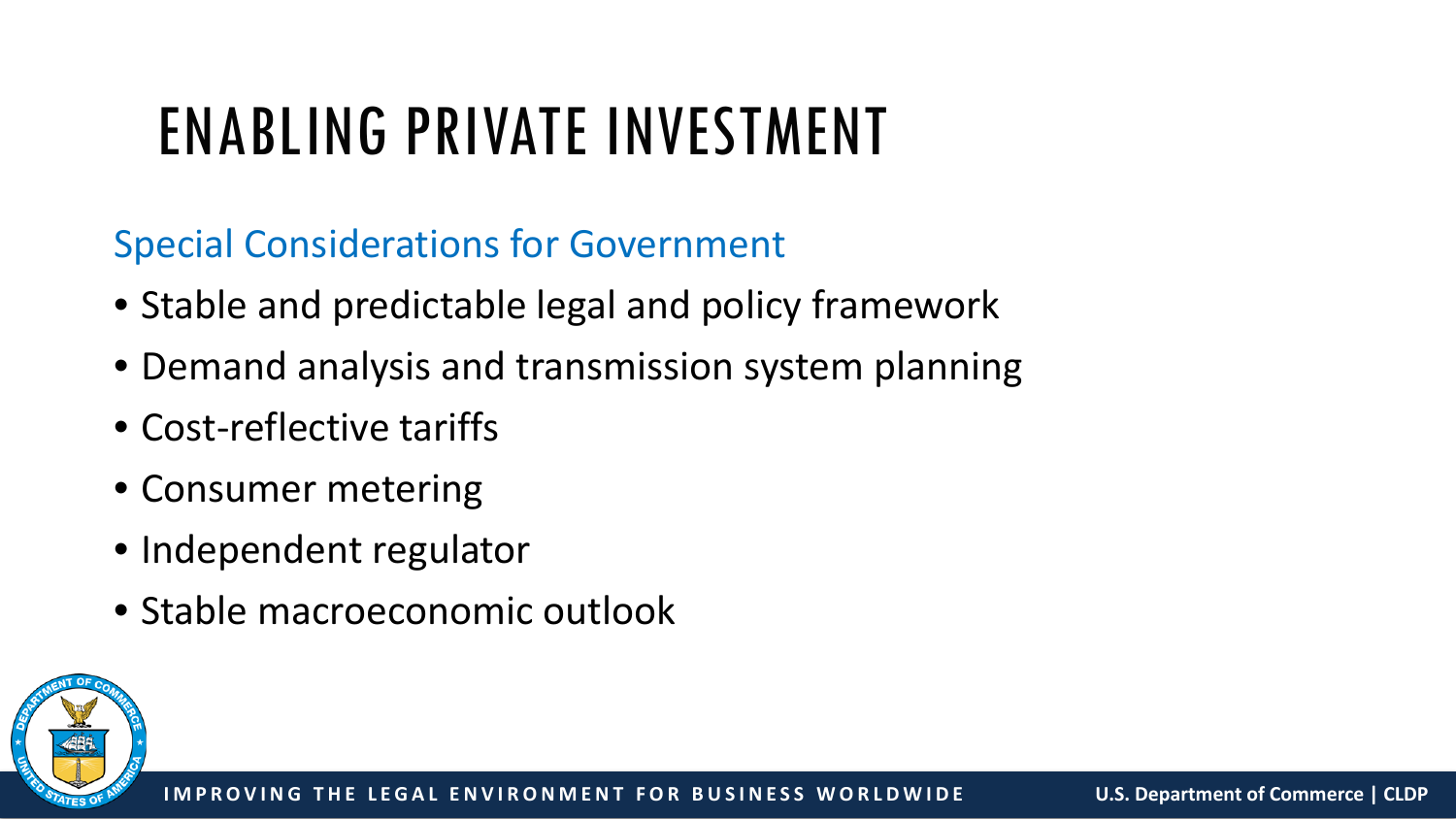## ENABLING PRIVATE INVESTMENT

Special Considerations for Government

- Stable and predictable legal and policy framework
- Demand analysis and transmission system planning
- Cost-reflective tariffs
- Consumer metering
- Independent regulator
- Stable macroeconomic outlook

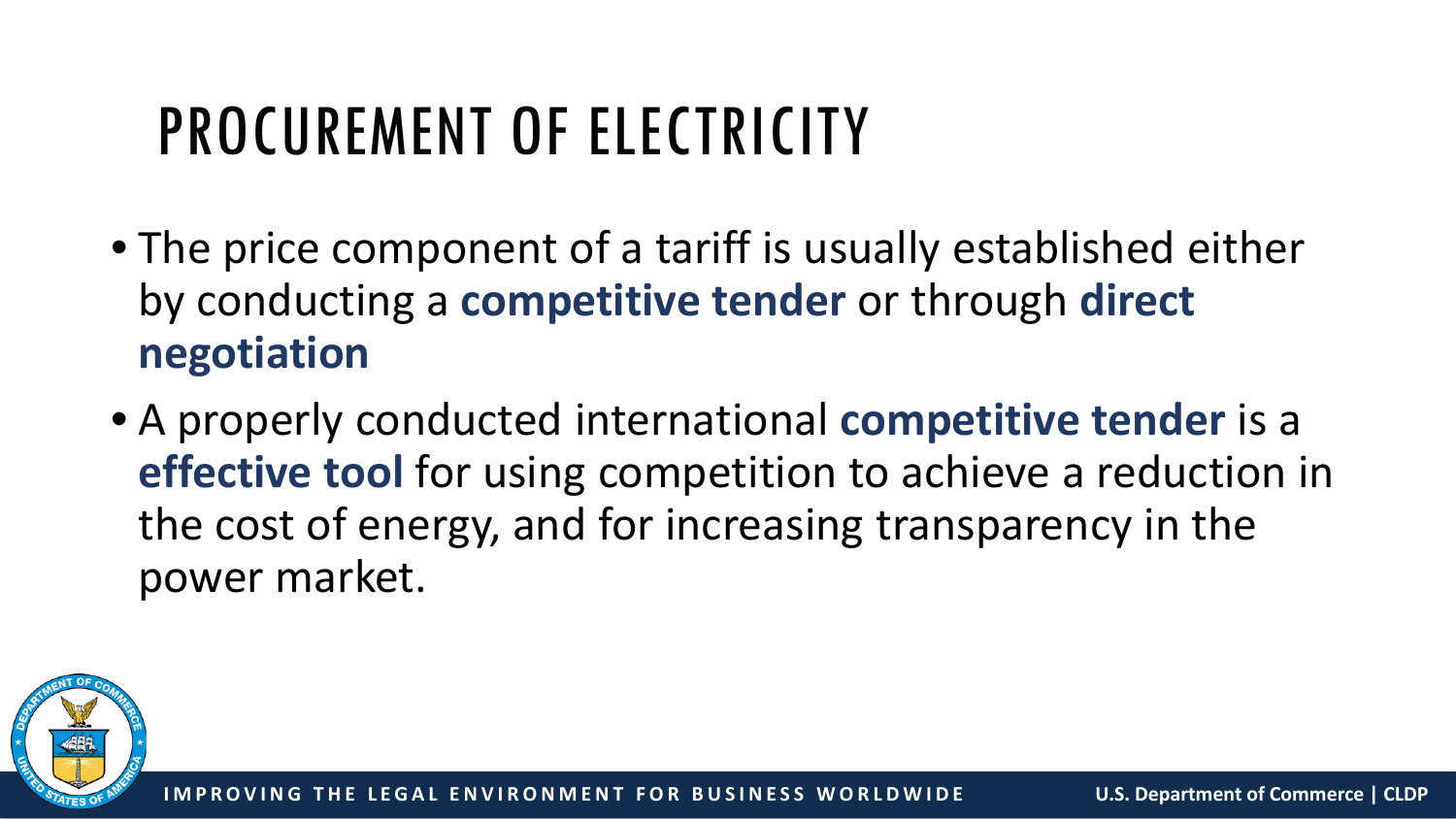#### PROCUREMENT OF ELECTRICITY

- The price component of a tariff is usually established either by conducting a **competitive tender** or through **direct negotiation**
- A properly conducted international **competitive tender** is a **effective tool** for using competition to achieve a reduction in the cost of energy, and for increasing transparency in the power market.

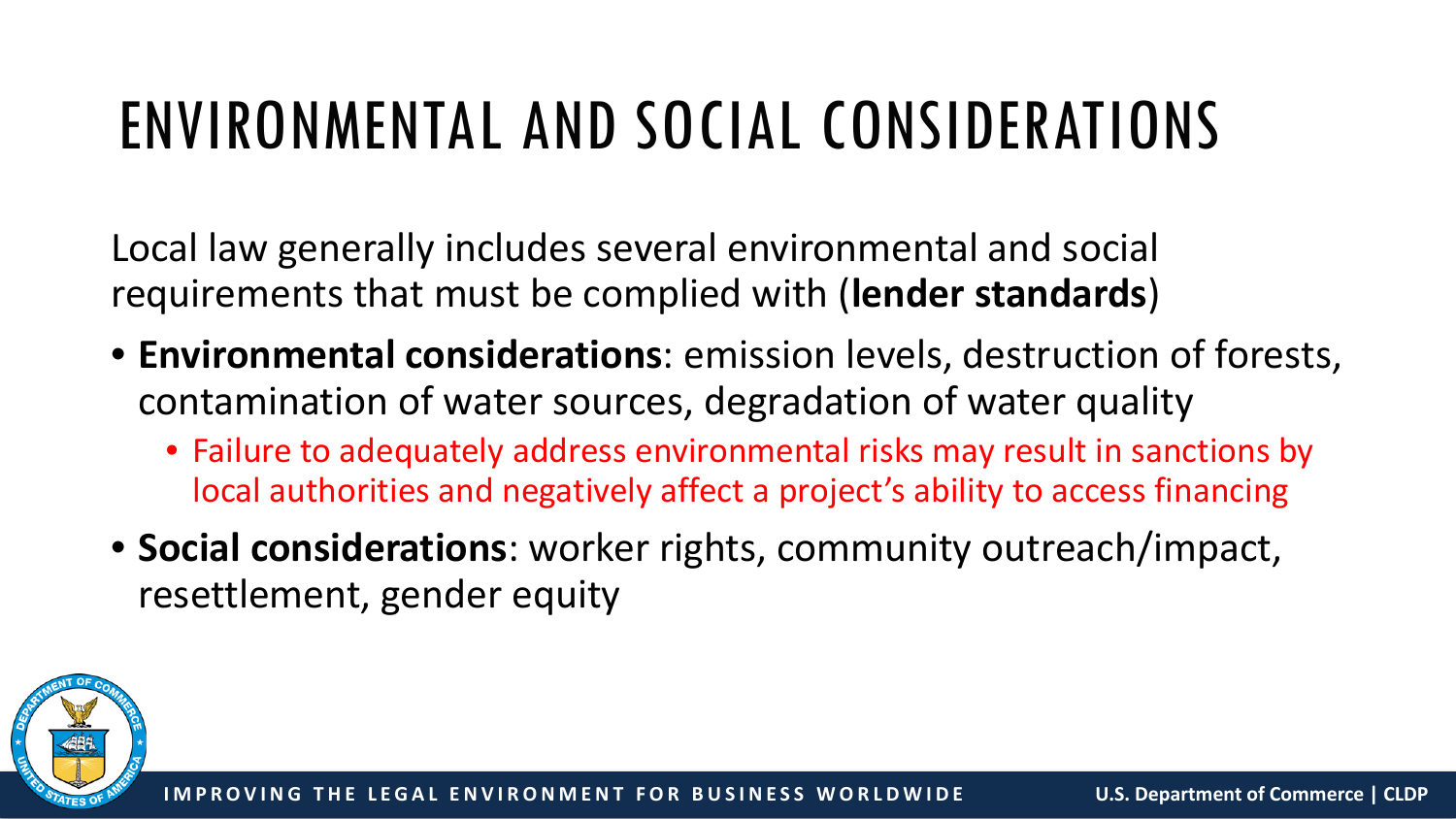## ENVIRONMENTAL AND SOCIAL CONSIDERATIONS

Local law generally includes several environmental and social requirements that must be complied with (**lender standards**)

- **Environmental considerations**: emission levels, destruction of forests, contamination of water sources, degradation of water quality
	- Failure to adequately address environmental risks may result in sanctions by local authorities and negatively affect a project's ability to access financing
- **Social considerations**: worker rights, community outreach/impact, resettlement, gender equity